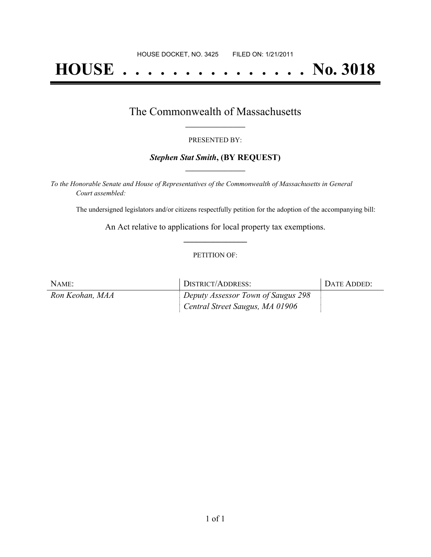# **HOUSE . . . . . . . . . . . . . . . No. 3018**

## The Commonwealth of Massachusetts **\_\_\_\_\_\_\_\_\_\_\_\_\_\_\_\_\_**

#### PRESENTED BY:

### *Stephen Stat Smith***, (BY REQUEST) \_\_\_\_\_\_\_\_\_\_\_\_\_\_\_\_\_**

*To the Honorable Senate and House of Representatives of the Commonwealth of Massachusetts in General Court assembled:*

The undersigned legislators and/or citizens respectfully petition for the adoption of the accompanying bill:

An Act relative to applications for local property tax exemptions. **\_\_\_\_\_\_\_\_\_\_\_\_\_\_\_**

### PETITION OF:

| NAME:           | DISTRICT/ADDRESS:                  | DATE ADDED: |
|-----------------|------------------------------------|-------------|
| Ron Keohan, MAA | Deputy Assessor Town of Saugus 298 |             |
|                 | Central Street Saugus, MA 01906    |             |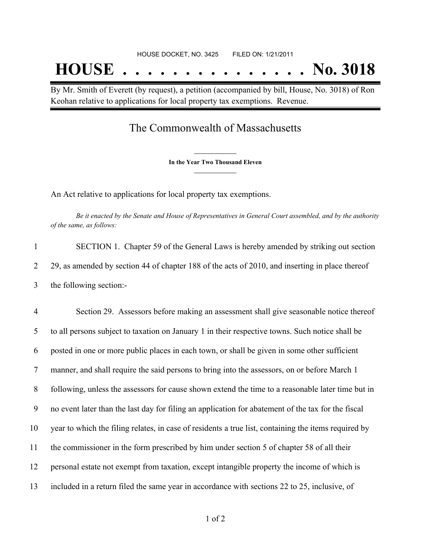By Mr. Smith of Everett (by request), a petition (accompanied by bill, House, No. 3018) of Ron Keohan relative to applications for local property tax exemptions. Revenue.

## The Commonwealth of Massachusetts

**\_\_\_\_\_\_\_\_\_\_\_\_\_\_\_ In the Year Two Thousand Eleven \_\_\_\_\_\_\_\_\_\_\_\_\_\_\_**

An Act relative to applications for local property tax exemptions.

Be it enacted by the Senate and House of Representatives in General Court assembled, and by the authority *of the same, as follows:*

| SECTION 1. Chapter 59 of the General Laws is hereby amended by striking out section             |
|-------------------------------------------------------------------------------------------------|
| 29, as amended by section 44 of chapter 188 of the acts of 2010, and inserting in place thereof |
| the following section:-                                                                         |

 Section 29. Assessors before making an assessment shall give seasonable notice thereof to all persons subject to taxation on January 1 in their respective towns. Such notice shall be posted in one or more public places in each town, or shall be given in some other sufficient manner, and shall require the said persons to bring into the assessors, on or before March 1 following, unless the assessors for cause shown extend the time to a reasonable later time but in no event later than the last day for filing an application for abatement of the tax for the fiscal year to which the filing relates, in case of residents a true list, containing the items required by the commissioner in the form prescribed by him under section 5 of chapter 58 of all their personal estate not exempt from taxation, except intangible property the income of which is included in a return filed the same year in accordance with sections 22 to 25, inclusive, of